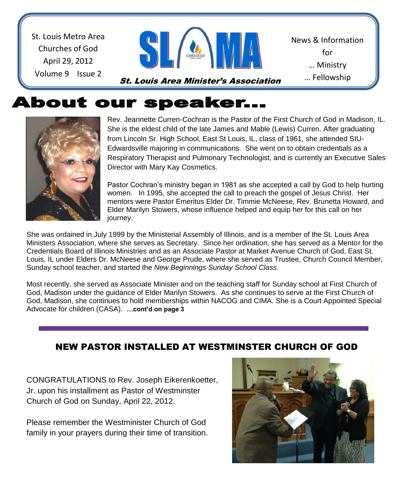St. Louis Metro Area Churches of God April 29, 2012 Volume 9 Issue 2



St. Louis Area Minister's Association

News & Information for … Ministry … Fellowship

… Sharing a transformation of the state of the state of the state of the state of the state of the state of th<br>Sharing a transformation of the state of the state of the state of the state of the state of the state of the

# **About our speaker...**



Rev. Jeannette Curren-Cochran is the Pastor of the First Church of God in Madison, IL. She is the eldest child of the late James and Mable (Lewis) Curren. After graduating from Lincoln Sr. High School, East St Louis, IL, class of 1961, she attended SIU-Edwardsville majoring in communications. She went on to obtain credentials as a Respiratory Therapist and Pulmonary Technologist, and is currently an Executive Sales Director with Mary Kay Cosmetics.

Pastor Cochran's ministry began in 1981 as she accepted a call by God to help hurting women. In 1995, she accepted the call to preach the gospel of Jesus Christ. Her mentors were Pastor Emeritus Elder Dr. Timmie McNeese, Rev. Brunetta Howard, and Elder Marilyn Stowers, whose influence helped and equip her for this call on her journey.

She was ordained in July 1999 by the Ministerial Assembly of Illinois, and is a member of the St. Louis Area Ministers Association, where she serves as Secretary. Since her ordination, she has served as a Mentor for the Credentials Board of Illinois Ministries and as an Associate Pastor at Market Avenue Church of God, East St. Louis, IL under Elders Dr. McNeese and George Prude, where she served as Trustee, Church Council Member, Sunday school teacher, and started the *New Beginnings Sunday School Class.* 

Most recently, she served as Associate Minister and on the teaching staff for Sunday school at First Church of God, Madison under the guidance of Elder Marilyn Stowers. As she continues to serve at the First Church of God, Madison, she continues to hold memberships within NACOG and CIMA. She is a Court Appointed Special Advocate for children (CASA). **…cont'd on page 3**

## NEW PASTOR INSTALLED AT WESTMINSTER CHURCH OF GOD

CONGRATULATIONS to Rev. Joseph Eikerenkoetter, Jr. upon his installment as Pastor of Westminster Church of God on Sunday, April 22, 2012.

Please remember the Westminister Church of God family in your prayers during their time of transition.

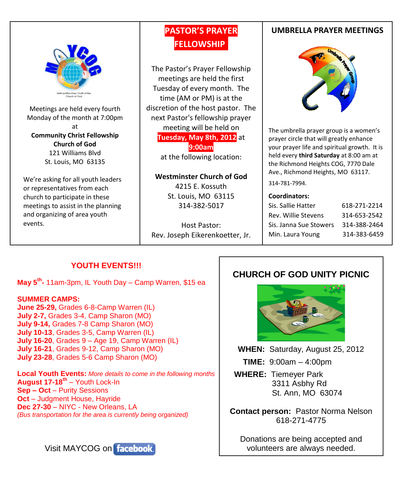

Meetings are held every fourth Monday of the month at 7:00pm at **Community Christ Fellowship Church of God** 121 Williams Blvd St. Louis, MO 63135

We're asking for all youth leaders or representatives from each church to participate in these meetings to assist in the planning and organizing of area youth events.

## **PASTOR'S PRAYER FELLOWSHIP.**

The Pastor's Prayer Fellowship meetings are held the first Tuesday of every month. The time (AM or PM) is at the discretion of the host pastor. The next Pastor's fellowship prayer meeting will be held on **Tuesday, May 8th, 2012** at **9:00am**

at the following location:

### **Westminster Church of God**

4215 E. Kossuth St. Louis, MO 63115 314-382-5017

Host Pastor: Rev. Joseph Eikerenkoetter, Jr.

### **UMBRELLA PRAYER MEETINGS**



The umbrella prayer group is a women's prayer circle that will greatly enhance your prayer life and spiritual growth. It is held every **third Saturday** at 8:00 am at the Richmond Heights COG, 7770 Dale Ave., Richmond Heights, MO 63117.

#### 314-781-7994.

#### **Coordinators:**

| Sis. Sallie Hatter     | 618-271-2214 |
|------------------------|--------------|
| Rev. Willie Stevens    | 314-653-2542 |
| Sis. Janna Sue Stowers | 314-388-2464 |
| Min. Laura Young       | 314-383-6459 |

## **YOUTH EVENTS!!!**

**May 5th -** 11am-3pm, IL Youth Day – Camp Warren, \$15 ea

### **SUMMER CAMPS:**

**June 25-29,** Grades 6-8-Camp Warren (IL) **July 2-7,** Grades 3-4, Camp Sharon (MO) **July 9-14,** Grades 7-8 Camp Sharon (MO) **July 10-13**, Grades 3-5, Camp Warren (IL) **July 16-20**, Grades 9 – Age 19, Camp Warren (IL) **July 16-21**, Grades 9-12, Camp Sharon (MO) **July 23-28**, Grades 5-6 Camp Sharon (MO)

**Local Youth Events:** *More details to come in the following months* **August 17-18th** – Youth Lock-In **Sep – Oct** – Purity Sessions **Oct** – Judgment House, Hayride **Dec 27-30** – NIYC - New Orleans, LA *(Bus transportation for the area is currently being organized)*



## **CHURCH OF GOD UNITY PICNIC**



**WHEN:** Saturday, August 25, 2012

 **TIME:** 9:00am – 4:00pm

 **WHERE:** Tiemeyer Park 3311 Asbhy Rd St. Ann, MO 63074

**Contact person:** Pastor Norma Nelson 618-271-4775

Donations are being accepted and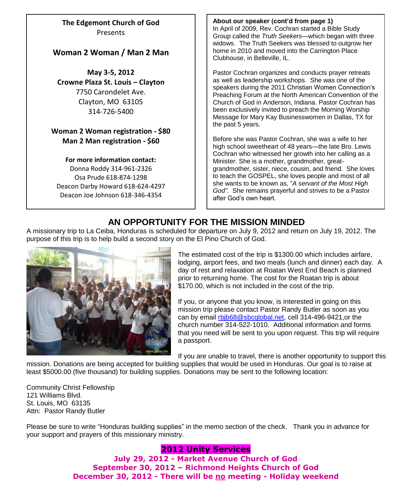**The Edgemont Church of God** Presents

### **Woman 2 Woman / Man 2 Man**

**May 3-5, 2012 Crowne Plaza St. Louis – Clayton** 7750 Carondelet Ave. Clayton, MO 63105 314-726-5400

### **Woman 2 Woman registration - \$80 Man 2 Man registration - \$60**

**For more information contact:**

Donna Roddy 314-961-2326 Osa Prude 618-874-1298 Deacon Darby Howard 618-624-4297 Deacon Joe Johnson 618-346-4354

**About our speaker (cont'd from page 1)** In April of 2009, Rev. Cochran started a Bible Study Group called the *Truth Seekers*—which began with three widows. The Truth Seekers was blessed to outgrow her home in 2010 and moved into the Carrington Place Clubhouse, in Belleville, IL.

Pastor Cochran organizes and conducts prayer retreats as well as leadership workshops. She was one of the speakers during the 2011 Christian Women Connection's Preaching Forum at the North American Convention of the Church of God in Anderson, Indiana. Pastor Cochran has been exclusively invited to preach the Morning Worship Message for Mary Kay Businesswomen in Dallas, TX for the past 5 years.

Before she was Pastor Cochran, she was a wife to her high school sweetheart of 48 years—the late Bro. Lewis Cochran who witnessed her growth into her calling as a Minister. She is a mother, grandmother, greatgrandmother, sister, niece, cousin, and friend. She loves to teach the GOSPEL, she loves people and most of all she wants to be known as, "*A servant of the Most High God"*. She remains prayerful and strives to be a Pastor after God's own heart.

## **AN OPPORTUNITY FOR THE MISSION MINDED**

A missionary trip to La Ceiba, Honduras is scheduled for departure on July 9, 2012 and return on July 19, 2012. The purpose of this trip is to help build a second story on the El Pino Church of God.



The estimated cost of the trip is \$1300.00 which includes airfare, lodging, airport fees, and two meals (lunch and dinner) each day. A day of rest and relaxation at Roatan West End Beach is planned prior to returning home. The cost for the Roatan trip is about \$170.00, which is not included in the cost of the trip.

If you, or anyone that you know, is interested in going on this mission trip please contact Pastor Randy Butler as soon as you can by email [rbjb68@sbcglobal.net,](mailto:rbjb68@sbcglobal.net) cell 314-496-9421,or the church number 314-522-1010. Additional information and forms that you need will be sent to you upon request. This trip will require a passport.

If you are unable to travel, there is another opportunity to support this

mission. Donations are being accepted for building supplies that would be used in Honduras. Our goal is to raise at least \$5000.00 (five thousand) for building supplies. Donations may be sent to the following location:

Community Christ Fellowship 121 Williams Blvd. St. Louis, MO 63135 Attn: Pastor Randy Butler

Please be sure to write "Honduras building supplies" in the memo section of the check. Thank you in advance for your support and prayers of this missionary ministry.

### **2012 Unity Services**

**July 29, 2012 - Market Avenue Church of God September 30, 2012 – Richmond Heights Church of God December 30, 2012 - There will be no meeting - Holiday weekend**